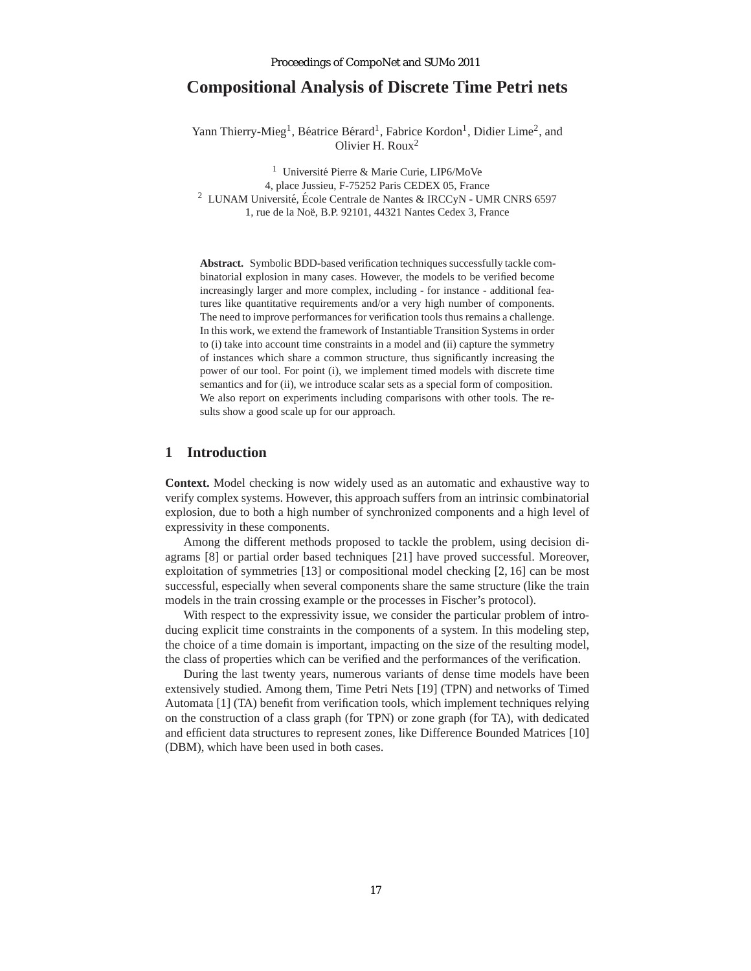# **Compositional Analysis of Discrete Time Petri nets**

Yann Thierry-Mieg<sup>1</sup>, Béatrice Bérard<sup>1</sup>, Fabrice Kordon<sup>1</sup>, Didier Lime<sup>2</sup>, and Olivier H. Roux<sup>2</sup>

<sup>1</sup> Université Pierre & Marie Curie, LIP6/MoVe 4, place Jussieu, F-75252 Paris CEDEX 05, France <sup>2</sup> LUNAM Université, École Centrale de Nantes & IRCCyN - UMR CNRS 6597 1, rue de la Noë, B.P. 92101, 44321 Nantes Cedex 3, France

**Abstract.** Symbolic BDD-based verification techniques successfully tackle combinatorial explosion in many cases. However, the models to be verified become increasingly larger and more complex, including - for instance - additional features like quantitative requirements and/or a very high number of components. The need to improve performances for verification tools thus remains a challenge. In this work, we extend the framework of Instantiable Transition Systems in order to (i) take into account time constraints in a model and (ii) capture the symmetry of instances which share a common structure, thus significantly increasing the power of our tool. For point (i), we implement timed models with discrete time semantics and for (ii), we introduce scalar sets as a special form of composition. We also report on experiments including comparisons with other tools. The results show a good scale up for our approach.

### **1 Introduction**

**Context.** Model checking is now widely used as an automatic and exhaustive way to verify complex systems. However, this approach suffers from an intrinsic combinatorial explosion, due to both a high number of synchronized components and a high level of expressivity in these components.

Among the different methods proposed to tackle the problem, using decision diagrams [8] or partial order based techniques [21] have proved successful. Moreover, exploitation of symmetries [13] or compositional model checking [2, 16] can be most successful, especially when several components share the same structure (like the train models in the train crossing example or the processes in Fischer's protocol).

With respect to the expressivity issue, we consider the particular problem of introducing explicit time constraints in the components of a system. In this modeling step, the choice of a time domain is important, impacting on the size of the resulting model, the class of properties which can be verified and the performances of the verification.

During the last twenty years, numerous variants of dense time models have been extensively studied. Among them, Time Petri Nets [19] (TPN) and networks of Timed Automata [1] (TA) benefit from verification tools, which implement techniques relying on the construction of a class graph (for TPN) or zone graph (for TA), with dedicated and efficient data structures to represent zones, like Difference Bounded Matrices [10] (DBM), which have been used in both cases.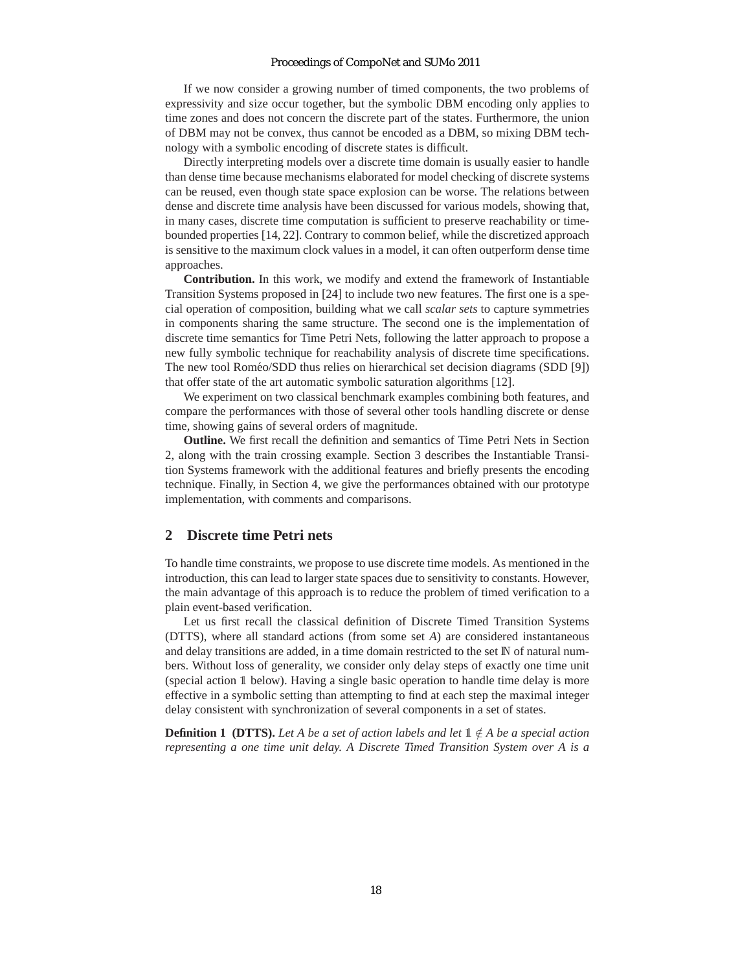If we now consider a growing number of timed components, the two problems of expressivity and size occur together, but the symbolic DBM encoding only applies to time zones and does not concern the discrete part of the states. Furthermore, the union of DBM may not be convex, thus cannot be encoded as a DBM, so mixing DBM technology with a symbolic encoding of discrete states is difficult.

Directly interpreting models over a discrete time domain is usually easier to handle than dense time because mechanisms elaborated for model checking of discrete systems can be reused, even though state space explosion can be worse. The relations between dense and discrete time analysis have been discussed for various models, showing that, in many cases, discrete time computation is sufficient to preserve reachability or timebounded properties [14, 22]. Contrary to common belief, while the discretized approach is sensitive to the maximum clock values in a model, it can often outperform dense time approaches.

**Contribution.** In this work, we modify and extend the framework of Instantiable Transition Systems proposed in [24] to include two new features. The first one is a special operation of composition, building what we call *scalar sets* to capture symmetries in components sharing the same structure. The second one is the implementation of discrete time semantics for Time Petri Nets, following the latter approach to propose a new fully symbolic technique for reachability analysis of discrete time specifications. The new tool Roméo/SDD thus relies on hierarchical set decision diagrams (SDD [9]) that offer state of the art automatic symbolic saturation algorithms [12].

We experiment on two classical benchmark examples combining both features, and compare the performances with those of several other tools handling discrete or dense time, showing gains of several orders of magnitude.

**Outline.** We first recall the definition and semantics of Time Petri Nets in Section 2, along with the train crossing example. Section 3 describes the Instantiable Transition Systems framework with the additional features and briefly presents the encoding technique. Finally, in Section 4, we give the performances obtained with our prototype implementation, with comments and comparisons.

## **2 Discrete time Petri nets**

To handle time constraints, we propose to use discrete time models. As mentioned in the introduction, this can lead to larger state spaces due to sensitivity to constants. However, the main advantage of this approach is to reduce the problem of timed verification to a plain event-based verification.

Let us first recall the classical definition of Discrete Timed Transition Systems (DTTS), where all standard actions (from some set *A*) are considered instantaneous and delay transitions are added, in a time domain restricted to the set  $\mathbb N$  of natural numbers. Without loss of generality, we consider only delay steps of exactly one time unit (special action 1 below). Having a single basic operation to handle time delay is more effective in a symbolic setting than attempting to find at each step the maximal integer delay consistent with synchronization of several components in a set of states.

**Definition 1 (DTTS).** Let A be a set of action labels and let  $\mathbb{1} \notin A$  be a special action *representing a one time unit delay. A Discrete Timed Transition System over A is a*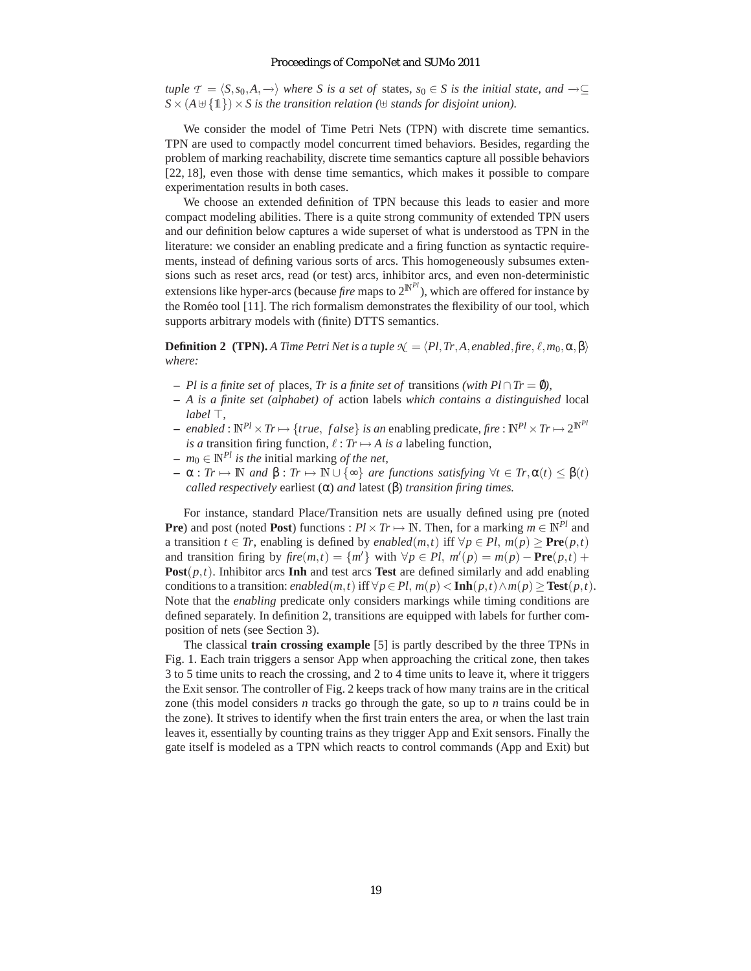*tuple*  $\mathcal{T} = \langle S, s_0, A, \rightarrow \rangle$  *where* S is a set of states, s<sub>0</sub> ∈ S is the initial state, and  $\rightarrow \subseteq$  $S \times (A \cup \{1\}) \times S$  *is the transition relation* ( $\cup$  *stands for disjoint union*).

We consider the model of Time Petri Nets (TPN) with discrete time semantics. TPN are used to compactly model concurrent timed behaviors. Besides, regarding the problem of marking reachability, discrete time semantics capture all possible behaviors [22, 18], even those with dense time semantics, which makes it possible to compare experimentation results in both cases.

We choose an extended definition of TPN because this leads to easier and more compact modeling abilities. There is a quite strong community of extended TPN users and our definition below captures a wide superset of what is understood as TPN in the literature: we consider an enabling predicate and a firing function as syntactic requirements, instead of defining various sorts of arcs. This homogeneously subsumes extensions such as reset arcs, read (or test) arcs, inhibitor arcs, and even non-deterministic extensions like hyper-arcs (because *fire* maps to  $2^{N^{Pl}}$ ), which are offered for instance by the Roméo tool [11]. The rich formalism demonstrates the flexibility of our tool, which supports arbitrary models with (finite) DTTS semantics.

**Definition 2** (TPN). *A Time Petri Net is a tuple*  $\mathcal{N} = \langle Pl, Tr, A, enabled, fire, \ell, m_0, \alpha, \beta \rangle$ *where:*

- **–** *Pl is a finite set of* places*, Tr is a finite set of* transitions *(with Pl*∩*Tr* = 0/*),*
- **–** *A is a finite set (alphabet) of* action labels *which contains a distinguished* local *label* ⊤*,*
- $−$  *enabled* :  $\mathbb{N}^{Pl} \times Tr \mapsto \{true, false\}$  *is an* enabling predicate, fire :  $\mathbb{N}^{Pl} \times Tr \mapsto 2^{\mathbb{N}^{Pl}}$ *is a* transition firing function,  $\ell : Tr \mapsto A$  *is a* labeling function,
- **–** *m*<sup>0</sup> ∈ N*Pl is the* initial marking *of the net,*
- $\alpha$ : *Tr*  $\mapsto \mathbb{N}$  *and*  $\beta$ : *Tr*  $\mapsto \mathbb{N} \cup \{\infty\}$  *are functions satisfying*  $\forall t \in \mathbb{N}$ ,  $\alpha(t) \leq \beta(t)$ *called respectively* earliest (α) *and* latest (β) *transition firing times.*

For instance, standard Place/Transition nets are usually defined using pre (noted **Pre**) and post (noted **Post**) functions :  $Pl \times Tr \mapsto \mathbb{N}$ . Then, for a marking  $m \in \mathbb{N}^{Pl}$  and a transition *t* ∈ *Tr*, enabling is defined by *enabled*(*m*,*t*) iff  $\forall p \in Pl$ , *m*(*p*) > **Pre**(*p*,*t*) and transition firing by  $\text{fire}(m,t) = \{m'\}$  with  $\forall p \in Pl$ ,  $m'(p) = m(p) - \text{Pre}(p,t) + \text{Pre}(p,t)$ **Post** $(p, t)$ . Inhibitor arcs **Inh** and test arcs **Test** are defined similarly and add enabling conditions to a transition: *enabled*( $m, t$ ) iff  $\forall p \in Pl$ ,  $m(p) < \text{Inh}(p, t) \land m(p) \geq \text{Test}(p, t)$ . Note that the *enabling* predicate only considers markings while timing conditions are defined separately. In definition 2, transitions are equipped with labels for further composition of nets (see Section 3).

The classical **train crossing example** [5] is partly described by the three TPNs in Fig. 1. Each train triggers a sensor App when approaching the critical zone, then takes 3 to 5 time units to reach the crossing, and 2 to 4 time units to leave it, where it triggers the Exit sensor. The controller of Fig. 2 keeps track of how many trains are in the critical zone (this model considers *n* tracks go through the gate, so up to *n* trains could be in the zone). It strives to identify when the first train enters the area, or when the last train leaves it, essentially by counting trains as they trigger App and Exit sensors. Finally the gate itself is modeled as a TPN which reacts to control commands (App and Exit) but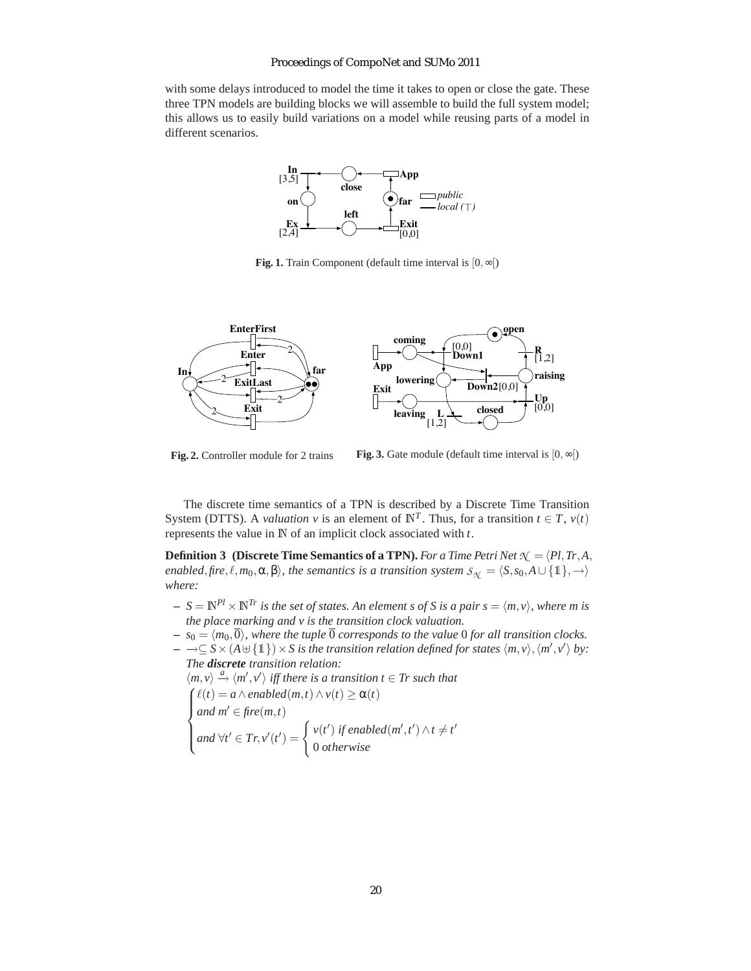with some delays introduced to model the time it takes to open or close the gate. These three TPN models are building blocks we will assemble to build the full system model; this allows us to easily build variations on a model while reusing parts of a model in different scenarios.



**Fig. 1.** Train Component (default time interval is [0,∞[)



**Fig. 2.** Controller module for 2 trains

**Fig. 3.** Gate module (default time interval is  $[0, \infty)$ )

The discrete time semantics of a TPN is described by a Discrete Time Transition System (DTTS). A *valuation v* is an element of  $\mathbb{N}^T$ . Thus, for a transition  $t \in T$ ,  $v(t)$ represents the value in N of an implicit clock associated with *t*.

**Definition 3** (Discrete Time Semantics of a TPN). *For a Time Petri Net*  $\mathcal{N} = \langle Pl, Tr, A,$ *enabled*,*fire*,  $\ell$ *,m*<sub>0</sub>, $\alpha$ *,* $\beta$ *), the semantics is a transition system*  $S_{\gamma} = \langle S, s_0, A \cup \{1\}, \rightarrow \rangle$ *where:*

- $S = \mathbb{N}^{Pl} \times \mathbb{N}^{Tr}$  *is the set of states. An element s of S is a pair*  $s = \langle m, v \rangle$ *, where m is the place marking and v is the transition clock valuation.*
- $s_0 = \langle m_0, \overline{0} \rangle$ , where the tuple  $\overline{0}$  *corresponds to the value* 0 *for all transition clocks.*
- $-$  →⊆  $S \times (A \cup \{1\}) \times S$  is the transition relation defined for states  $\langle m, v \rangle$ ,  $\langle m', v' \rangle$  by: *The discrete transition relation:*

$$
\langle m, v \rangle \xrightarrow{\alpha} \langle m', v' \rangle \text{ iff there is a transition } t \in \text{Tr such that}
$$
  

$$
\begin{cases} \ell(t) = a \land enabled(m, t) \land v(t) \geq \alpha(t) \\ \text{and } m' \in \text{fire}(m, t) \\ \text{and } \forall t' \in \text{Tr}, v'(t') = \begin{cases} v(t') \text{ if enabled}(m', t') \land t \neq t' \\ 0 \text{ otherwise} \end{cases}
$$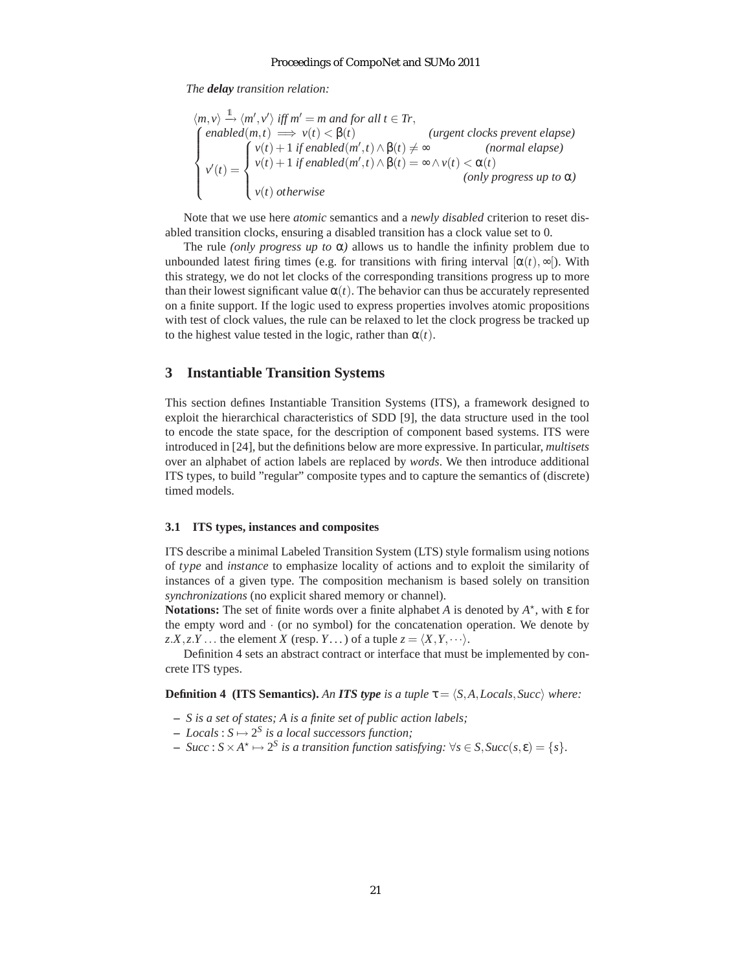*The delay transition relation:*

$$
\langle m, v \rangle \xrightarrow{1} \langle m', v' \rangle \text{ iff } m' = m \text{ and for all } t \in Tr,
$$
\n
$$
\begin{cases}\n\text{enabled}(m, t) \Longrightarrow v(t) < \beta(t) \\
v(t) + 1 \text{ if enabled}(m', t) \land \beta(t) \neq \infty & \text{(normal elapse)} \\
v'(t) = \begin{cases}\nv(t) + 1 \text{ if enabled}(m', t) \land \beta(t) = \infty \land v(t) < \alpha(t) \\
v(t) \text{ otherwise} & \text{(only progress up to } \alpha)\n\end{cases}\n\end{cases}
$$

Note that we use here *atomic* semantics and a *newly disabled* criterion to reset disabled transition clocks, ensuring a disabled transition has a clock value set to 0.

The rule *(only progress up to*  $\alpha$ *)* allows us to handle the infinity problem due to unbounded latest firing times (e.g. for transitions with firing interval  $[\alpha(t), \infty]$ ). With this strategy, we do not let clocks of the corresponding transitions progress up to more than their lowest significant value  $\alpha(t)$ . The behavior can thus be accurately represented on a finite support. If the logic used to express properties involves atomic propositions with test of clock values, the rule can be relaxed to let the clock progress be tracked up to the highest value tested in the logic, rather than  $\alpha(t)$ .

### **3 Instantiable Transition Systems**

This section defines Instantiable Transition Systems (ITS), a framework designed to exploit the hierarchical characteristics of SDD [9], the data structure used in the tool to encode the state space, for the description of component based systems. ITS were introduced in [24], but the definitions below are more expressive. In particular, *multisets* over an alphabet of action labels are replaced by *words*. We then introduce additional ITS types, to build "regular" composite types and to capture the semantics of (discrete) timed models.

### **3.1 ITS types, instances and composites**

ITS describe a minimal Labeled Transition System (LTS) style formalism using notions of *type* and *instance* to emphasize locality of actions and to exploit the similarity of instances of a given type. The composition mechanism is based solely on transition *synchronizations* (no explicit shared memory or channel).

**Notations:** The set of finite words over a finite alphabet *A* is denoted by *A* ⋆ , with ε for the empty word and  $\cdot$  (or no symbol) for the concatenation operation. We denote by  $z.X, z.Y \dots$  the element *X* (resp. *Y*...) of a tuple  $z = \langle X, Y, \dots \rangle$ .

Definition 4 sets an abstract contract or interface that must be implemented by concrete ITS types.

**Definition 4 (ITS Semantics).** An **ITS type** is a tuple  $\tau = \langle S, A, Locals, Succ \rangle$  where:

- **–** *S is a set of states; A is a finite set of public action labels;*
- $-$  *Locals* :  $S \mapsto 2^S$  *is a local successors function;*
- $\rightarrow$  *Succ* :  $S \times A^* \mapsto 2^S$  is a transition function satisfying:  $\forall s \in S$ ,  $Succ(s, \varepsilon) = \{s\}.$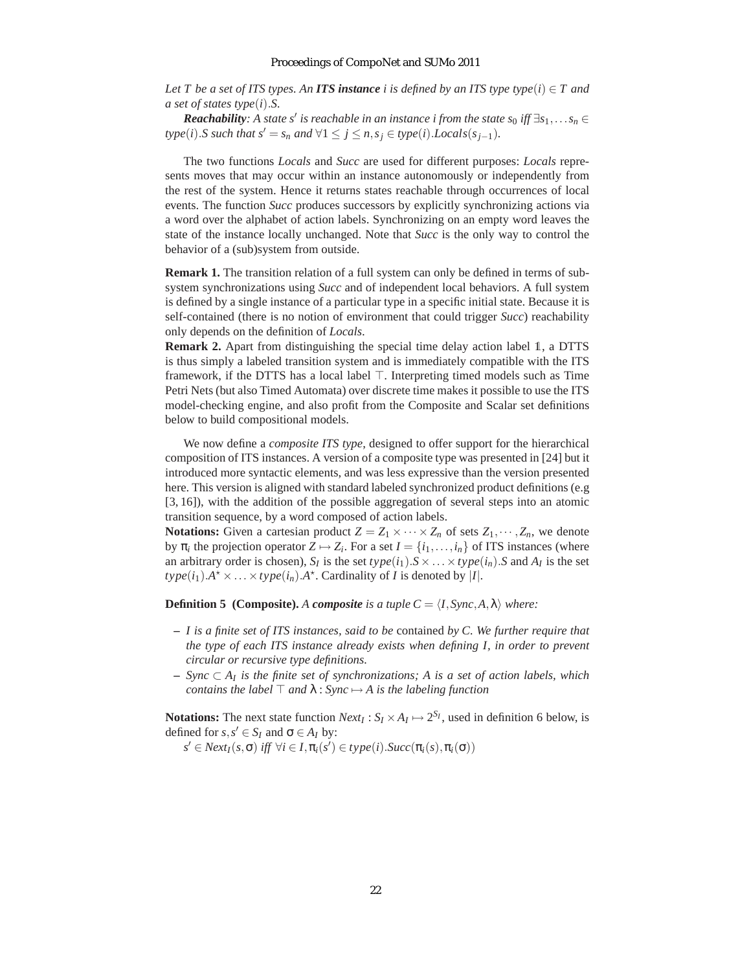*Let* T be a set of ITS types. An **ITS instance** *i* is defined by an ITS type type(*i*)  $\in$  T and *a set of states type*(*i*).*S.*

*Reachability*: A state s<sup>*'*</sup> is reachable in an instance i from the state s<sub>0</sub> iff  $\exists s_1, \ldots s_n \in$ *type*(*i*).*S such that*  $s' = s_n$  *and*  $\forall 1 \leq j \leq n$ ,  $s_j \in type(i)$ .*Locals*( $s_{j-1}$ ).

The two functions *Locals* and *Succ* are used for different purposes: *Locals* represents moves that may occur within an instance autonomously or independently from the rest of the system. Hence it returns states reachable through occurrences of local events. The function *Succ* produces successors by explicitly synchronizing actions via a word over the alphabet of action labels. Synchronizing on an empty word leaves the state of the instance locally unchanged. Note that *Succ* is the only way to control the behavior of a (sub)system from outside.

**Remark 1.** The transition relation of a full system can only be defined in terms of subsystem synchronizations using *Succ* and of independent local behaviors. A full system is defined by a single instance of a particular type in a specific initial state. Because it is self-contained (there is no notion of environment that could trigger *Succ*) reachability only depends on the definition of *Locals*.

**Remark 2.** Apart from distinguishing the special time delay action label 1, a DTTS is thus simply a labeled transition system and is immediately compatible with the ITS framework, if the DTTS has a local label ⊤. Interpreting timed models such as Time Petri Nets (but also Timed Automata) over discrete time makes it possible to use the ITS model-checking engine, and also profit from the Composite and Scalar set definitions below to build compositional models.

We now define a *composite ITS type*, designed to offer support for the hierarchical composition of ITS instances. A version of a composite type was presented in [24] but it introduced more syntactic elements, and was less expressive than the version presented here. This version is aligned with standard labeled synchronized product definitions (e.g. [3, 16]), with the addition of the possible aggregation of several steps into an atomic transition sequence, by a word composed of action labels.

**Notations:** Given a cartesian product  $Z = Z_1 \times \cdots \times Z_n$  of sets  $Z_1, \cdots, Z_n$ , we denote by  $\pi_i$  the projection operator  $Z \mapsto Z_i$ . For a set  $I = \{i_1, \ldots, i_n\}$  of ITS instances (where an arbitrary order is chosen),  $S_I$  is the set  $type(i_1)$ . $S \times \ldots \times type(i_n)$ . *S* and  $A_I$  is the set  $type(i_1)$ .*A*<sup> $\star$ </sup>  $\times$  ...  $\times type(i_n)$ .*A*<sup> $\star$ </sup>. Cardinality of *I* is denoted by |*I*|.

**Definition 5 (Composite).** *A composite is a tuple*  $C = \langle I, S \rangle$ *nc*, *A*,  $\lambda$ ) *where:* 

- **–** *I is a finite set of ITS instances, said to be* contained *by C. We further require that the type of each ITS instance already exists when defining I, in order to prevent circular or recursive type definitions.*
- **–** *Sync* ⊂ *A<sup>I</sup> is the finite set of synchronizations; A is a set of action labels, which contains the label*  $\top$  *and*  $\lambda$  : *Sync*  $\mapsto$  *A is the labeling function*

**Notations:** The next state function  $Next_I: S_I \times A_I \mapsto 2^{S_I}$ , used in definition 6 below, is defined for  $s, s' \in S_I$  and  $\sigma \in A_I$  by:

 $s' \in Next_I(s, \sigma)$  *iff*  $\forall i \in I, \pi_i(s') \in type(i)$ . *Succ* $(\pi_i(s), \pi_i(\sigma))$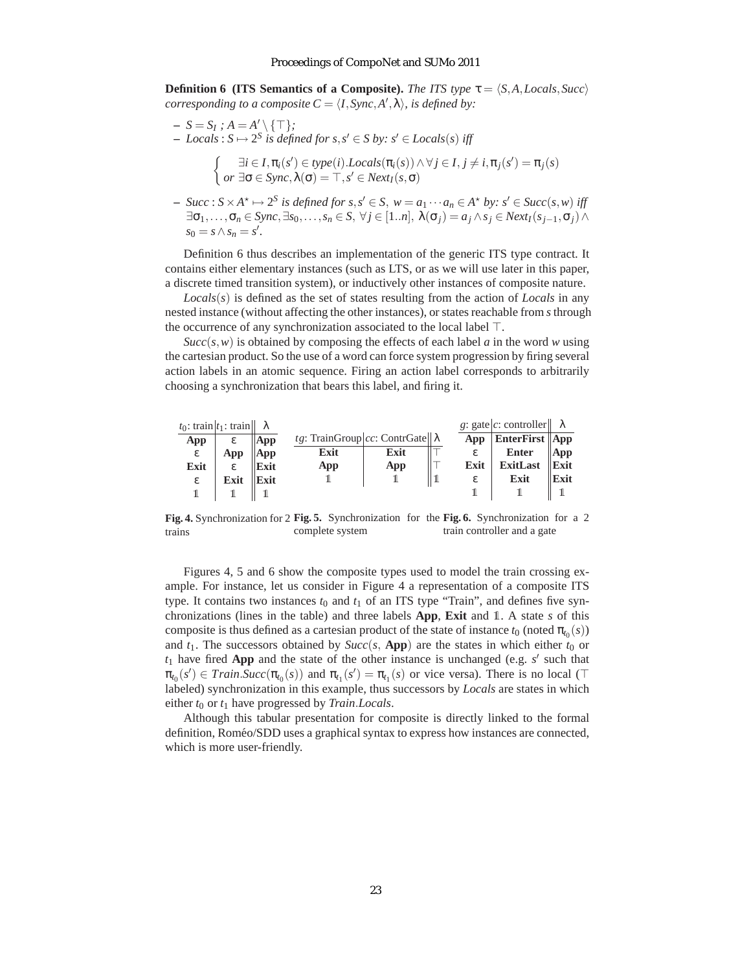**Definition 6 (ITS Semantics of a Composite).** *The ITS type*  $\tau = \langle S, A, Locals, Succ \rangle$ *corresponding to a composite*  $C = \langle I, \text{Sync}, A', \lambda \rangle$ *, is defined by:* 

- $S = S_I$ ;  $A = A' \setminus {\top};$
- $\rightarrow$  *Locals* : *S*  $\rightarrow$  2<sup>*S*</sup> *is defined for s*, *s*<sup> $′$ </sup> ∈ *S by: s*<sup> $′$ </sup> ∈ *Locals*(*s*) *iff*

$$
\begin{cases}\n\exists i \in I, \pi_i(s') \in type(i).Locals(\pi_i(s)) \land \forall j \in I, j \neq i, \pi_j(s') = \pi_j(s) \\
\text{or } \exists \sigma \in \text{Sync}, \lambda(\sigma) = \top, s' \in \text{Next}_I(s, \sigma)\n\end{cases}
$$

 $\rightarrow$  *Succ* :  $S \times A^* \mapsto 2^S$  is defined for  $s, s' \in S$ ,  $w = a_1 \cdots a_n \in A^*$  by:  $s' \in Succ(s, w)$  iff  $\exists \sigma_1, \ldots, \sigma_n \in \text{Symc}, \exists s_0, \ldots, s_n \in S, \forall j \in [1..n], \lambda(\sigma_j) = a_j \wedge s_j \in \text{Next}_I(s_{j-1}, \sigma_j) \wedge s_j$  $s_0 = s \wedge s_n = s'.$ 

Definition 6 thus describes an implementation of the generic ITS type contract. It contains either elementary instances (such as LTS, or as we will use later in this paper, a discrete timed transition system), or inductively other instances of composite nature.

*Locals*(*s*) is defined as the set of states resulting from the action of *Locals* in any nested instance (without affecting the other instances), or states reachable from *s*through the occurrence of any synchronization associated to the local label ⊤.

 $Succ(s, w)$  is obtained by composing the effects of each label *a* in the word *w* using the cartesian product. So the use of a word can force system progression by firing several action labels in an atomic sequence. Firing an action label corresponds to arbitrarily choosing a synchronization that bears this label, and firing it.

| $t_0$ : train $ t_1$ : train $   \lambda$ |      |      |                                          |      |      | g: gate c: controller   |      |
|-------------------------------------------|------|------|------------------------------------------|------|------|-------------------------|------|
| App                                       | ε    | App  | tg: TrainGroup cc: ContrGate   $\lambda$ |      | App  | <b>EnterFirst   App</b> |      |
| ε                                         | App  | App  | Exit                                     | Exit | ε    | Enter                   | App  |
| Exit                                      | ε.   | Exit | App                                      | App  | Exit | <b>ExitLast</b>         | Exit |
| ε                                         | Exit | Exit |                                          |      | ε    | Exit                    | Exit |
|                                           |      |      |                                          |      |      |                         |      |

**Fig. 4.** Synchronization for 2 **Fig. 5.** Synchronization for the **Fig. 6.** Synchronization for a 2 trains complete system train controller and a gate

Figures 4, 5 and 6 show the composite types used to model the train crossing example. For instance, let us consider in Figure 4 a representation of a composite ITS type. It contains two instances  $t_0$  and  $t_1$  of an ITS type "Train", and defines five synchronizations (lines in the table) and three labels **App**, **Exit** and 1. A state *s* of this composite is thus defined as a cartesian product of the state of instance  $t_0$  (noted  $\pi_{t_0}(s)$ ) and  $t_1$ . The successors obtained by  $Succ(s, \text{App})$  are the states in which either  $t_0$  or  $t_1$  have fired App and the state of the other instance is unchanged (e.g.  $s'$  such that  $\pi_{t_0}(s') \in Train.Succ(\pi_{t_0}(s))$  and  $\pi_{t_1}(s') = \pi_{t_1}(s)$  or vice versa). There is no local (⊤ labeled) synchronization in this example, thus successors by *Locals* are states in which either *t*<sup>0</sup> or *t*<sup>1</sup> have progressed by *Train*.*Locals*.

Although this tabular presentation for composite is directly linked to the formal definition, Roméo/SDD uses a graphical syntax to express how instances are connected, which is more user-friendly.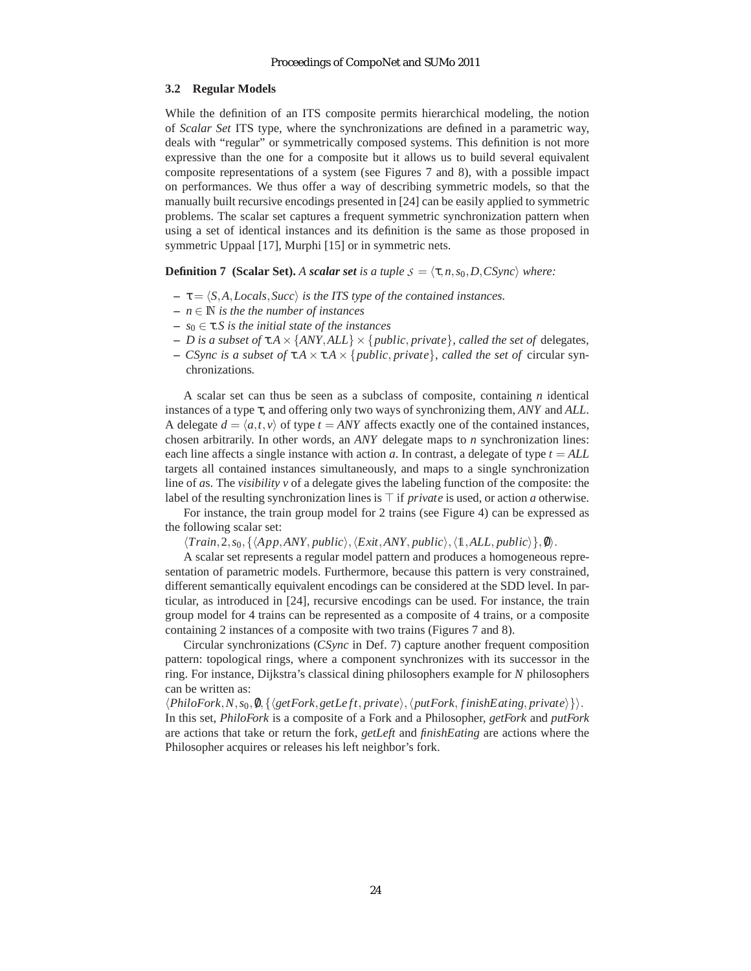### **3.2 Regular Models**

While the definition of an ITS composite permits hierarchical modeling, the notion of *Scalar Set* ITS type, where the synchronizations are defined in a parametric way, deals with "regular" or symmetrically composed systems. This definition is not more expressive than the one for a composite but it allows us to build several equivalent composite representations of a system (see Figures 7 and 8), with a possible impact on performances. We thus offer a way of describing symmetric models, so that the manually built recursive encodings presented in [24] can be easily applied to symmetric problems. The scalar set captures a frequent symmetric synchronization pattern when using a set of identical instances and its definition is the same as those proposed in symmetric Uppaal [17], Murphi [15] or in symmetric nets.

**Definition 7** (Scalar Set). A *scalar set is a tuple*  $S = \langle \tau, n, s_0, D, C \rangle$  *where:* 

- $-\tau = \langle S, A, Locals, Succ \rangle$  *is the ITS type of the contained instances.*
- **–** *n* ∈ N *is the the number of instances*
- **–** *s*<sup>0</sup> ∈ τ.*S is the initial state of the instances*
- **–** *D is a subset of* τ.*A*× {*ANY*,*ALL*} × {*public*, *private*}*, called the set of* delegates*,*
- **–** *CSync is a subset of* τ.*A* × τ.*A* × {*public*, *private*}*, called the set of* circular synchronizations*.*

A scalar set can thus be seen as a subclass of composite, containing *n* identical instances of a type τ, and offering only two ways of synchronizing them, *ANY* and *ALL*. A delegate  $d = \langle a, t, v \rangle$  of type  $t = ANY$  affects exactly one of the contained instances, chosen arbitrarily. In other words, an *ANY* delegate maps to *n* synchronization lines: each line affects a single instance with action *a*. In contrast, a delegate of type  $t = ALL$ targets all contained instances simultaneously, and maps to a single synchronization line of *a*s. The *visibility v* of a delegate gives the labeling function of the composite: the label of the resulting synchronization lines is ⊤ if *private* is used, or action *a* otherwise.

For instance, the train group model for 2 trains (see Figure 4) can be expressed as the following scalar set:

 $\langle Train, 2, s_0, \{\langle App, ANY, public \rangle, \langle Exist, ANY, public \rangle, \langle 1, ALL, public \rangle\}, \emptyset \rangle.$ 

A scalar set represents a regular model pattern and produces a homogeneous representation of parametric models. Furthermore, because this pattern is very constrained, different semantically equivalent encodings can be considered at the SDD level. In particular, as introduced in [24], recursive encodings can be used. For instance, the train group model for 4 trains can be represented as a composite of 4 trains, or a composite containing 2 instances of a composite with two trains (Figures 7 and 8).

Circular synchronizations (*CSync* in Def. 7) capture another frequent composition pattern: topological rings, where a component synchronizes with its successor in the ring. For instance, Dijkstra's classical dining philosophers example for *N* philosophers can be written as:

 $\langle PhiloFork, N, s_0, \emptyset, \{\langle getFork, getLeft, private\rangle, \langle putFork, finishEating, private\rangle\}\rangle.$ In this set, *PhiloFork* is a composite of a Fork and a Philosopher, *getFork* and *putFork* are actions that take or return the fork, *getLeft* and *finishEating* are actions where the Philosopher acquires or releases his left neighbor's fork.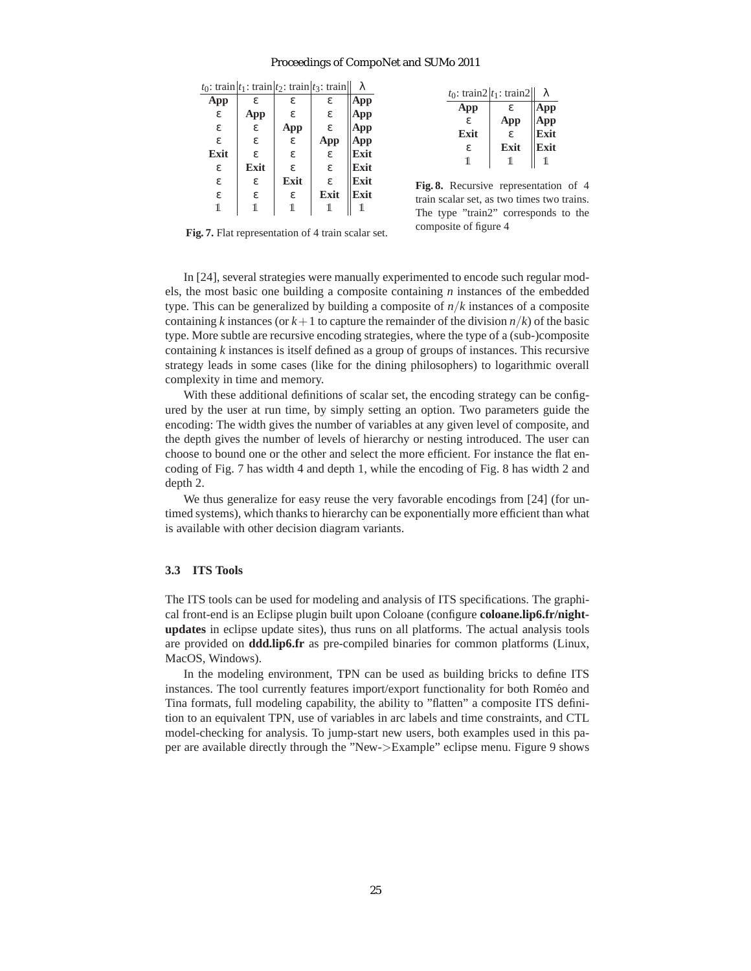| λ    |      | $t_0$ : train $t_1$ : train $t_2$ : train $t_3$ : train |      |      |
|------|------|---------------------------------------------------------|------|------|
| App  | ε.   | ε.                                                      | ε.   | App  |
| App  | ε.   | ε.                                                      | App  | ε    |
| App  | ε.   | App                                                     | ε    | ε    |
| App  | App  | ε                                                       | ε.   | ε.   |
| Exit | ε.   | ε.                                                      | ε.   | Exit |
| Exit | ε.   | ε.                                                      | Exit | ε    |
| Exit | ε.   | Exit                                                    | ε    | ε    |
| Exit | Exit | ε                                                       | ε    | ε    |
|      |      |                                                         |      | 1    |

|      | $t_0$ : train2 $ t_1$ : train2 |      |
|------|--------------------------------|------|
| App  | ε.                             | эp   |
| ε.   | App                            | рp   |
| Exit | £.                             | Exit |
| ε.   | Exit                           | Exit |
| ı    | 11.                            |      |
|      |                                |      |

**Fig. 8.** Recursive representation of 4 train scalar set, as two times two trains. The type "train2" corresponds to the composite of figure 4

**Fig. 7.** Flat representation of 4 train scalar set.

In [24], several strategies were manually experimented to encode such regular models, the most basic one building a composite containing *n* instances of the embedded type. This can be generalized by building a composite of *n*/*k* instances of a composite containing *k* instances (or  $k+1$  to capture the remainder of the division  $n/k$ ) of the basic type. More subtle are recursive encoding strategies, where the type of a (sub-)composite containing *k* instances is itself defined as a group of groups of instances. This recursive strategy leads in some cases (like for the dining philosophers) to logarithmic overall complexity in time and memory.

With these additional definitions of scalar set, the encoding strategy can be configured by the user at run time, by simply setting an option. Two parameters guide the encoding: The width gives the number of variables at any given level of composite, and the depth gives the number of levels of hierarchy or nesting introduced. The user can choose to bound one or the other and select the more efficient. For instance the flat encoding of Fig. 7 has width 4 and depth 1, while the encoding of Fig. 8 has width 2 and depth 2.

We thus generalize for easy reuse the very favorable encodings from [24] (for untimed systems), which thanks to hierarchy can be exponentially more efficient than what is available with other decision diagram variants.

### **3.3 ITS Tools**

The ITS tools can be used for modeling and analysis of ITS specifications. The graphical front-end is an Eclipse plugin built upon Coloane (configure **coloane.lip6.fr/nightupdates** in eclipse update sites), thus runs on all platforms. The actual analysis tools are provided on **ddd.lip6.fr** as pre-compiled binaries for common platforms (Linux, MacOS, Windows).

In the modeling environment, TPN can be used as building bricks to define ITS instances. The tool currently features import/export functionality for both Romeo and ´ Tina formats, full modeling capability, the ability to "flatten" a composite ITS definition to an equivalent TPN, use of variables in arc labels and time constraints, and CTL model-checking for analysis. To jump-start new users, both examples used in this paper are available directly through the "New->Example" eclipse menu. Figure 9 shows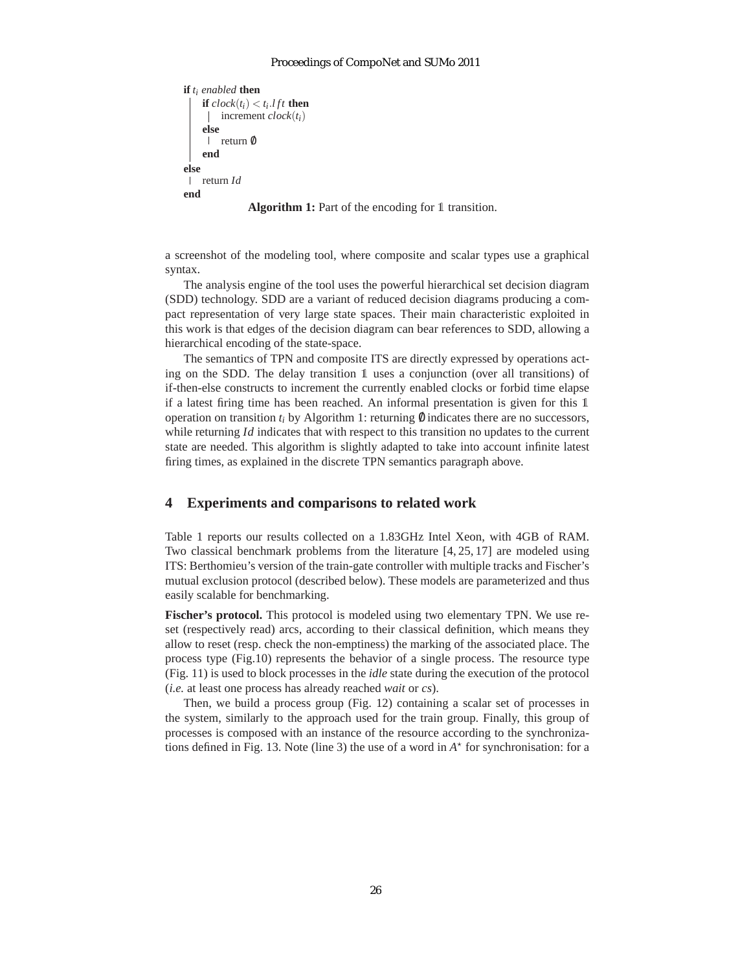```
if ti enabled then
    if clock(t_i) < t_i.lft then
     increment clock(t_i)else
     | return 0
    end
else
 return Id
end
```
**Algorithm 1:** Part of the encoding for 1 transition.

a screenshot of the modeling tool, where composite and scalar types use a graphical syntax.

The analysis engine of the tool uses the powerful hierarchical set decision diagram (SDD) technology. SDD are a variant of reduced decision diagrams producing a compact representation of very large state spaces. Their main characteristic exploited in this work is that edges of the decision diagram can bear references to SDD, allowing a hierarchical encoding of the state-space.

The semantics of TPN and composite ITS are directly expressed by operations acting on the SDD. The delay transition 1 uses a conjunction (over all transitions) of if-then-else constructs to increment the currently enabled clocks or forbid time elapse if a latest firing time has been reached. An informal presentation is given for this 1 operation on transition  $t_i$  by Algorithm 1: returning  $\emptyset$  indicates there are no successors, while returning *Id* indicates that with respect to this transition no updates to the current state are needed. This algorithm is slightly adapted to take into account infinite latest firing times, as explained in the discrete TPN semantics paragraph above.

### **4 Experiments and comparisons to related work**

Table 1 reports our results collected on a 1.83GHz Intel Xeon, with 4GB of RAM. Two classical benchmark problems from the literature [4, 25, 17] are modeled using ITS: Berthomieu's version of the train-gate controller with multiple tracks and Fischer's mutual exclusion protocol (described below). These models are parameterized and thus easily scalable for benchmarking.

**Fischer's protocol.** This protocol is modeled using two elementary TPN. We use reset (respectively read) arcs, according to their classical definition, which means they allow to reset (resp. check the non-emptiness) the marking of the associated place. The process type (Fig.10) represents the behavior of a single process. The resource type (Fig. 11) is used to block processes in the *idle* state during the execution of the protocol (*i.e.* at least one process has already reached *wait* or *cs*).

Then, we build a process group (Fig. 12) containing a scalar set of processes in the system, similarly to the approach used for the train group. Finally, this group of processes is composed with an instance of the resource according to the synchronizations defined in Fig. 13. Note (line 3) the use of a word in  $A^*$  for synchronisation: for a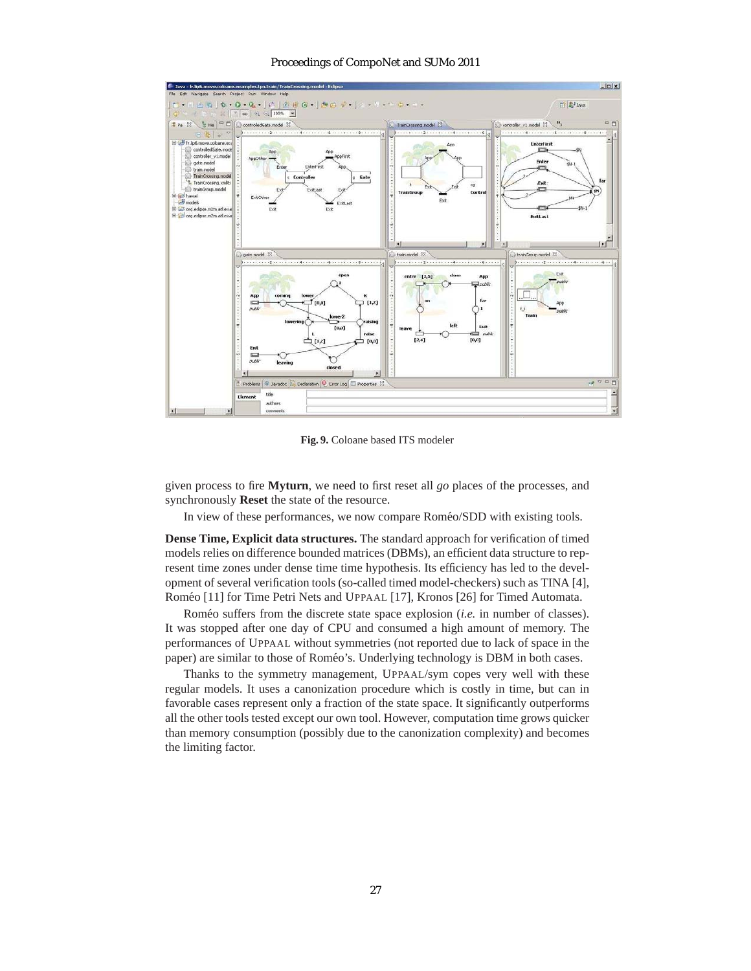

**Fig. 9.** Coloane based ITS modeler

given process to fire **Myturn**, we need to first reset all *go* places of the processes, and synchronously **Reset** the state of the resource.

In view of these performances, we now compare Roméo/SDD with existing tools.

**Dense Time, Explicit data structures.** The standard approach for verification of timed models relies on difference bounded matrices (DBMs), an efficient data structure to represent time zones under dense time time hypothesis. Its efficiency has led to the development of several verification tools (so-called timed model-checkers) such as TINA [4], Roméo [11] for Time Petri Nets and UPPAAL [17], Kronos [26] for Timed Automata.

Roméo suffers from the discrete state space explosion (*i.e.* in number of classes). It was stopped after one day of CPU and consumed a high amount of memory. The performances of UPPAAL without symmetries (not reported due to lack of space in the paper) are similar to those of Roméo's. Underlying technology is DBM in both cases.

Thanks to the symmetry management, UPPAAL/sym copes very well with these regular models. It uses a canonization procedure which is costly in time, but can in favorable cases represent only a fraction of the state space. It significantly outperforms all the other tools tested except our own tool. However, computation time grows quicker than memory consumption (possibly due to the canonization complexity) and becomes the limiting factor.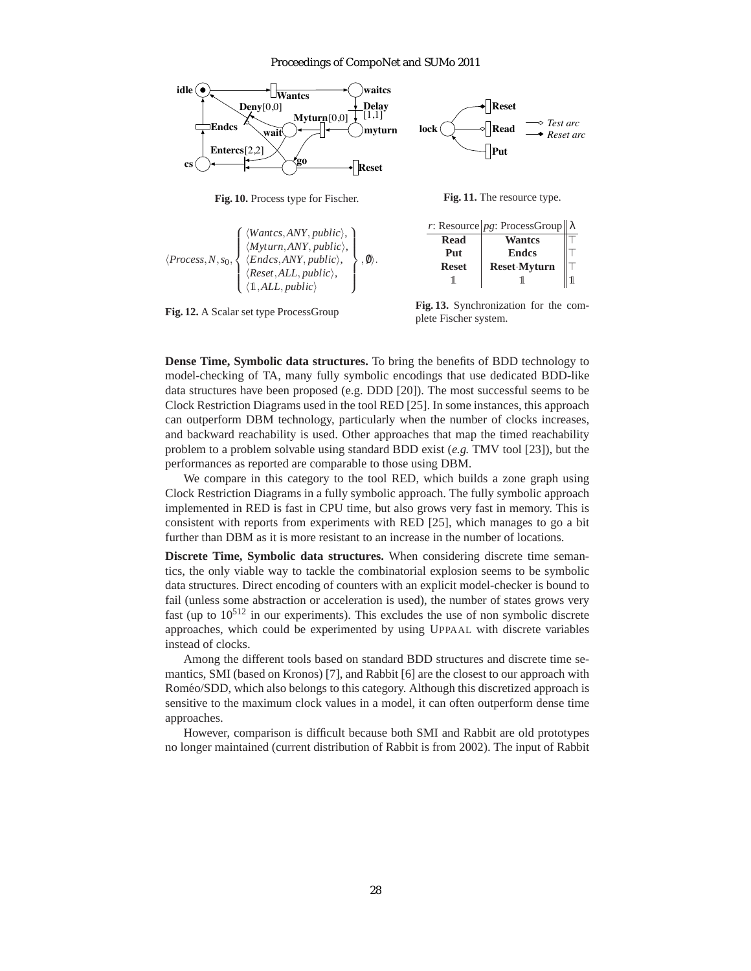

**Fig. 10.** Process type for Fischer.

 $\langle Process, N, s_0, \rangle$  $\sqrt{ }$  $\left\{\n\begin{array}{l}\n\langle Myturn, ANY, public \rangle, \\
\langle Endcs, ANY, public \rangle\n\end{array}\n\right\}$  $\overline{\mathcal{L}}$ *Wantcs*,*ANY*, *public*),  $\langle Endcs, ANY, public \rangle$ ,  $\langle$ *Reset*,*ALL*, *public* $\rangle$ ,  $\langle 1,ALL, public \rangle$  $\mathcal{L}$  $\overline{\mathcal{L}}$  $\int$  $, \emptyset \rangle$ . *r*: Resource *pg*: ProcessGroup **Read Wantcs Put** Ⅰ Endcs **Reset** Reset<sup></sup>·**Myturn** 1 1 1

**Fig. 12.** A Scalar set type ProcessGroup

plete Fischer system.

**Dense Time, Symbolic data structures.** To bring the benefits of BDD technology to model-checking of TA, many fully symbolic encodings that use dedicated BDD-like data structures have been proposed (e.g. DDD [20]). The most successful seems to be Clock Restriction Diagrams used in the tool RED [25]. In some instances, this approach can outperform DBM technology, particularly when the number of clocks increases, and backward reachability is used. Other approaches that map the timed reachability problem to a problem solvable using standard BDD exist (*e.g.* TMV tool [23]), but the performances as reported are comparable to those using DBM.

We compare in this category to the tool RED, which builds a zone graph using Clock Restriction Diagrams in a fully symbolic approach. The fully symbolic approach implemented in RED is fast in CPU time, but also grows very fast in memory. This is consistent with reports from experiments with RED [25], which manages to go a bit further than DBM as it is more resistant to an increase in the number of locations.

**Discrete Time, Symbolic data structures.** When considering discrete time semantics, the only viable way to tackle the combinatorial explosion seems to be symbolic data structures. Direct encoding of counters with an explicit model-checker is bound to fail (unless some abstraction or acceleration is used), the number of states grows very fast (up to  $10^{512}$  in our experiments). This excludes the use of non symbolic discrete approaches, which could be experimented by using UPPAAL with discrete variables instead of clocks.

Among the different tools based on standard BDD structures and discrete time semantics, SMI (based on Kronos) [7], and Rabbit [6] are the closest to our approach with Romeo/SDD, which also belongs to this category. Although this discretized approach is ´ sensitive to the maximum clock values in a model, it can often outperform dense time approaches.

However, comparison is difficult because both SMI and Rabbit are old prototypes no longer maintained (current distribution of Rabbit is from 2002). The input of Rabbit

**Fig. 13.** Synchronization for the com-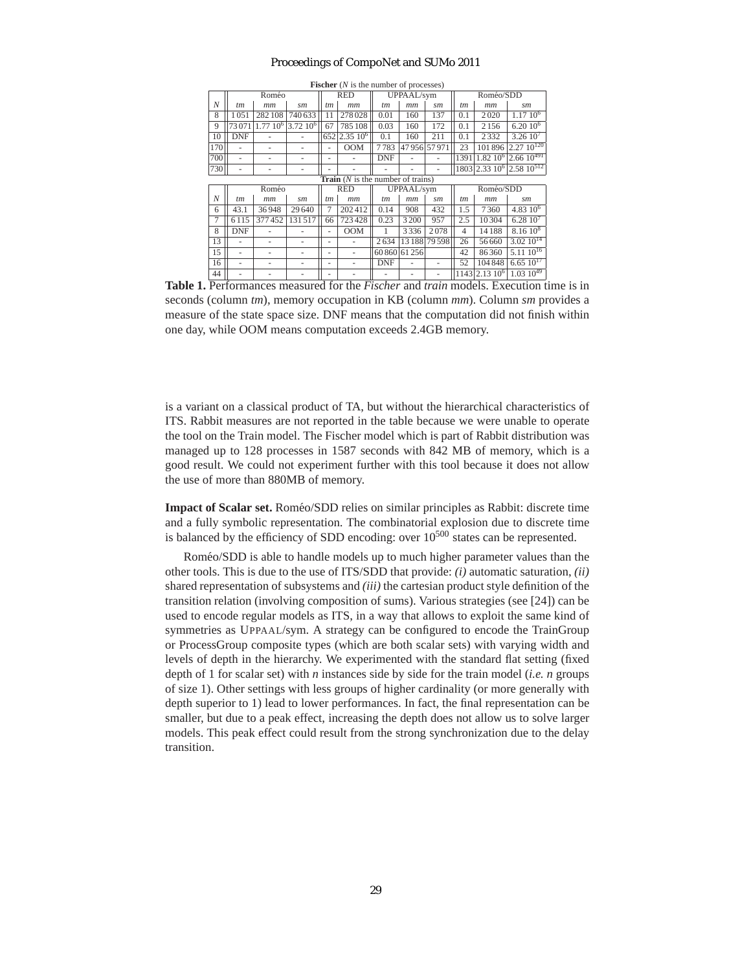|     | Roméo                                      |              |             |     | <b>RED</b><br>UPPAAL/sym |            |             | Roméo/SDD     |                |                           |                                                  |
|-----|--------------------------------------------|--------------|-------------|-----|--------------------------|------------|-------------|---------------|----------------|---------------------------|--------------------------------------------------|
| N   | tm                                         | mm           | sm          | tm  | mm                       | tm         | mm          | sm            | tm             | mm                        | sm                                               |
| 8   | 1051                                       | 282108       | 740 633     | 11  | 278 028                  | 0.01       | 160         | 137           | 0.1            | 2020                      | 1.1710 <sup>6</sup>                              |
| 9   | 73071                                      | $1.7710^{6}$ | $3.72~10^6$ | 67  | 785 108                  | 0.03       | 160         | 172           | 0.1            | 2156                      | $6.2010^6$                                       |
| 10  | <b>DNF</b>                                 |              |             | 652 | $ 2.35\,10^6 $           | 0.1        | 160         | 211           | 0.1            | 2332                      | 3.2610 <sup>7</sup>                              |
| 170 |                                            |              |             |     | <b>OOM</b>               | 7783       | 47956 57971 |               | 23             | 101896                    | $2.27 \frac{10^{120}}{2}$                        |
| 700 |                                            |              |             |     |                          | <b>DNF</b> |             |               | 1391           | $1.82~10^{6}$             | $\sqrt{2.6610^{491}}$                            |
| 730 |                                            |              |             |     |                          |            |             |               |                |                           | 1803 2.33 10 <sup>6</sup> 2.58 10 <sup>512</sup> |
|     | <b>Train</b> $(N$ is the number of trains) |              |             |     |                          |            |             |               |                |                           |                                                  |
|     | Roméo                                      |              |             |     | <b>RED</b>               | UPPAAL/sym |             |               | Roméo/SDD      |                           |                                                  |
| N   | tm                                         | mm           | sm          | tm  | mm                       | tm         | $_{mm}$     | sm            | tm             | mm                        | sm                                               |
| 6   | 43.1                                       | 36948        | 29 640      | 7   | 202412                   | 0.14       | 908         | 432           | 1.5            | 7360                      | 4.83 $10^{6}$                                    |
| 7   | 6115                                       | 377452       | 131517      | 66  | 723 428                  | 0.23       | 3 2 0 0     | 957           | 2.5            | 10304                     | 6.2810 <sup>7</sup>                              |
| 8   | <b>DNF</b>                                 |              |             |     | <b>OOM</b>               | 1          | 3336        | 2078          | $\overline{4}$ | 14188                     | $8.1610^{8}$                                     |
| 13  |                                            |              |             |     |                          | 2634       |             | 13 188 79 598 | 26             | 56 660                    | $3.02 \overline{10^{14}}$                        |
| 15  |                                            |              |             | -   |                          | 60860      | 61 25 6     |               | 42             | 86360                     | $5.1110^{16}$                                    |
| 16  | ٠                                          |              |             | ۰   |                          | DNF        |             |               | 52             | 104848                    | $6.65 \overline{10^{17}}$                        |
| 44  |                                            |              |             |     |                          |            |             |               |                | 1143 2.13 10 <sup>6</sup> | $1.03 \overline{10^{49}}$                        |

**Fischer** (*N* is the number of processes)

**Table 1.** Performances measured for the *Fischer* and *train* models. Execution time is in seconds (column *tm*), memory occupation in KB (column *mm*). Column *sm* provides a measure of the state space size. DNF means that the computation did not finish within one day, while OOM means computation exceeds 2.4GB memory.

is a variant on a classical product of TA, but without the hierarchical characteristics of ITS. Rabbit measures are not reported in the table because we were unable to operate the tool on the Train model. The Fischer model which is part of Rabbit distribution was managed up to 128 processes in 1587 seconds with 842 MB of memory, which is a good result. We could not experiment further with this tool because it does not allow the use of more than 880MB of memory.

**Impact of Scalar set.** Roméo/SDD relies on similar principles as Rabbit: discrete time and a fully symbolic representation. The combinatorial explosion due to discrete time is balanced by the efficiency of SDD encoding: over  $10^{500}$  states can be represented.

Roméo/SDD is able to handle models up to much higher parameter values than the other tools. This is due to the use of ITS/SDD that provide: *(i)* automatic saturation, *(ii)* shared representation of subsystems and *(iii)* the cartesian product style definition of the transition relation (involving composition of sums). Various strategies (see [24]) can be used to encode regular models as ITS, in a way that allows to exploit the same kind of symmetries as UPPAAL/sym. A strategy can be configured to encode the TrainGroup or ProcessGroup composite types (which are both scalar sets) with varying width and levels of depth in the hierarchy. We experimented with the standard flat setting (fixed depth of 1 for scalar set) with *n* instances side by side for the train model (*i.e. n* groups of size 1). Other settings with less groups of higher cardinality (or more generally with depth superior to 1) lead to lower performances. In fact, the final representation can be smaller, but due to a peak effect, increasing the depth does not allow us to solve larger models. This peak effect could result from the strong synchronization due to the delay transition.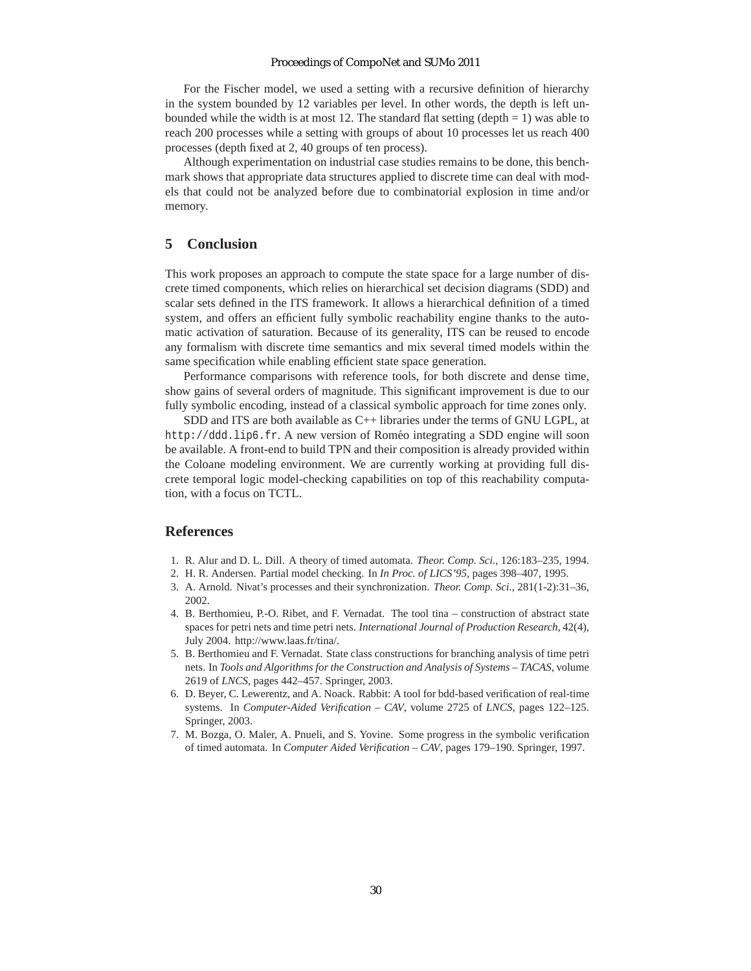For the Fischer model, we used a setting with a recursive definition of hierarchy in the system bounded by 12 variables per level. In other words, the depth is left unbounded while the width is at most 12. The standard flat setting (depth  $= 1$ ) was able to reach 200 processes while a setting with groups of about 10 processes let us reach 400 processes (depth fixed at 2, 40 groups of ten process).

Although experimentation on industrial case studies remains to be done, this benchmark shows that appropriate data structures applied to discrete time can deal with models that could not be analyzed before due to combinatorial explosion in time and/or memory.

### **5 Conclusion**

This work proposes an approach to compute the state space for a large number of discrete timed components, which relies on hierarchical set decision diagrams (SDD) and scalar sets defined in the ITS framework. It allows a hierarchical definition of a timed system, and offers an efficient fully symbolic reachability engine thanks to the automatic activation of saturation. Because of its generality, ITS can be reused to encode any formalism with discrete time semantics and mix several timed models within the same specification while enabling efficient state space generation.

Performance comparisons with reference tools, for both discrete and dense time, show gains of several orders of magnitude. This significant improvement is due to our fully symbolic encoding, instead of a classical symbolic approach for time zones only.

SDD and ITS are both available as C++ libraries under the terms of GNU LGPL, at http://ddd.lip6.fr. A new version of Roméo integrating a SDD engine will soon be available. A front-end to build TPN and their composition is already provided within the Coloane modeling environment. We are currently working at providing full discrete temporal logic model-checking capabilities on top of this reachability computation, with a focus on TCTL.

### **References**

- 1. R. Alur and D. L. Dill. A theory of timed automata. *Theor. Comp. Sci.*, 126:183–235, 1994.
- 2. H. R. Andersen. Partial model checking. In *In Proc. of LICS'95*, pages 398–407, 1995.
- 3. A. Arnold. Nivat's processes and their synchronization. *Theor. Comp. Sci.*, 281(1-2):31–36, 2002.
- 4. B. Berthomieu, P.-O. Ribet, and F. Vernadat. The tool tina construction of abstract state spaces for petri nets and time petri nets. *International Journal of Production Research*, 42(4), July 2004. http://www.laas.fr/tina/.
- 5. B. Berthomieu and F. Vernadat. State class constructions for branching analysis of time petri nets. In *Tools and Algorithms for the Construction and Analysis of Systems – TACAS*, volume 2619 of *LNCS*, pages 442–457. Springer, 2003.
- 6. D. Beyer, C. Lewerentz, and A. Noack. Rabbit: A tool for bdd-based verification of real-time systems. In *Computer-Aided Verification – CAV*, volume 2725 of *LNCS*, pages 122–125. Springer, 2003.
- 7. M. Bozga, O. Maler, A. Pnueli, and S. Yovine. Some progress in the symbolic verification of timed automata. In *Computer Aided Verification – CAV*, pages 179–190. Springer, 1997.